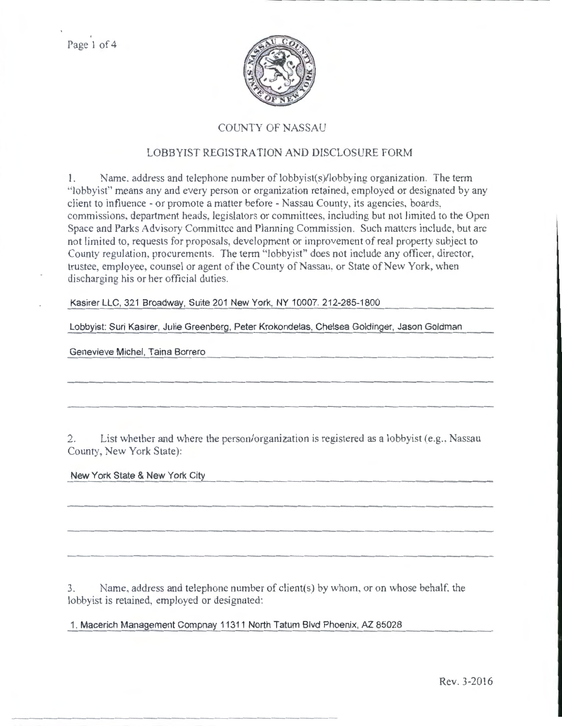Page I of 4



## COUNTY OF NASSAU

## LOBBYIST REGISTRATION AND DISCLOSURE FORM

I. Name. address and telephone number of lobbyist(s)/lobbying organization. The term "lobbyist" means any and every person or organization retained, employed or designated by any client to influence- or promote a matter before- Nassau County, its agencies, boards, commissions. department heads, legislators or committees, including but not limited to the Open Space and Parks Advisory Committee and Planning Commission. Such matters include, but arc not limited to, requests for proposals, development or improvement of real property subject to County regulation. procurements. The term "lobbyist" does not include any officer, director, trustee, employee, counsel or agent of the County of Nassau, or State of New York, when discharging his or her official duties.

Kasirer LLC, 321 Broadway, Suite 201 New York, NY 10007. 212-285-1800

Lobbyist: Suri Kasirer, Julie Greenberg, Peter Krokondelas, Chelsea Goldinger, Jason Goldman

Genevieve Michel, Taina Borrero

2. List whether and where the person/organization is registered as a lobbyist (e.g., Nassau County, New York State):

New York State & New York City

3. Name, address and telephone number of client(s) by whom. or on whose behalf. the lobbyist is retained, employed or designated:

1. Macerich Management Compnay 11311 North Tatum Blvd Phoenix, AZ 85028

Rev. 3-2016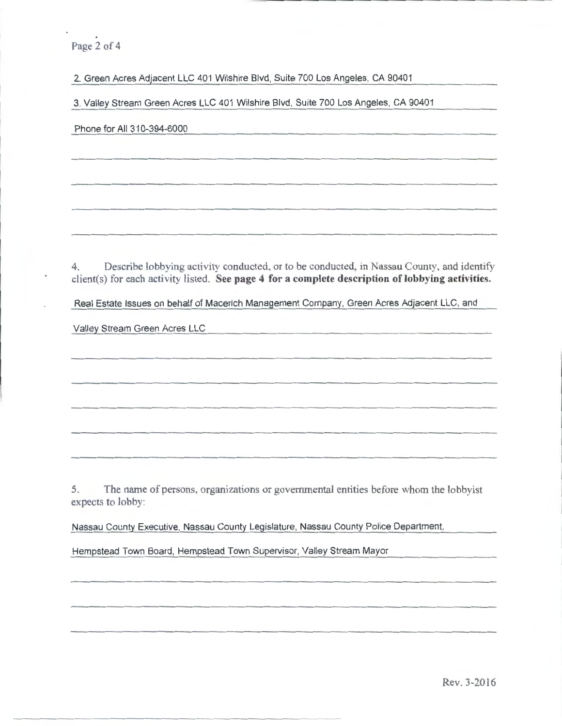Page 2 of 4

2. Green Acres Adjacent LLC 401 Wilshire Blvd, Suite 700 Los Angeles, CA 90401

3. Valley Stream Green Acres LLC 401 Wilshire Blvd, Suite 700 Los Angeles, CA 90401

Phone for All 310-394-6000

4. Describe lobbying activity conducted, or to be conducted, in Nassau County, and identify client(s) for each activity listed. See page 4 for a complete description of lobbying activities.

Real Estate Issues on behalf of Macerich Management Company, Green Acres Adjacent LLC, and

Valley Stream Green Acres LLC

5. The name of persons. organizations or governmental entities before whom the lobbyist expects to lobby:

Nassau County Executive, Nassau County Legislature, Nassau County Police Department,

Hempstead Town Board, Hempstead Town Supervisor, Valley Stream Mayor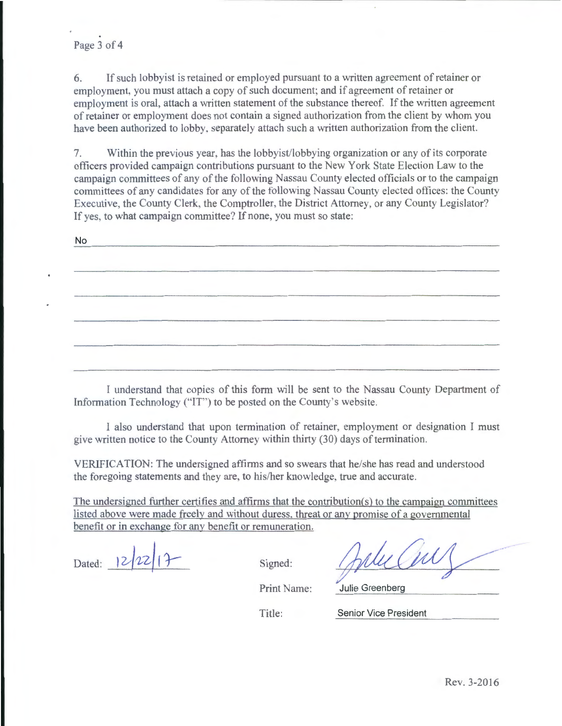6. If such lobbyist is retained or employed pursuant to a written agreement of retainer or employment, you must attach a copy of such document; and if agreement of retainer or employment is oral, attach a written statement of the substance thereof. If the written agreement of retainer or employment does not contain a signed authorization from the client by whom you have been authorized to lobby. separately attach such a written authorization from the client.

7. Within the previous year. has the lobbyist/lobbying organization or any of its corporate officers provided campaign contributions pursuant to the New York State Election Law to the campaign committees of any of the following Nassau County elected officials or to the campaign committees of any candidates for any of the following Nassau County elected offices: the County Executive, the County Clerk. the Comptroller, the District Attorney, or any County Legislator? If yes, to what campaign committee? If none, you must so state:

No

I understand that copies of this form will be sent to the Nassau County Department of Information Technology ("IT") to be posted on the County's website.

1 also understand that upon termination of retainer, employment or designation I must give written notice to the County Attorney within thirty (30) days of termination.

VERIFICATION: The undersigned affirms and so swears that he/she has read and understood the foregoing statements and they are, to his/her knowledge. true and accurate.

The undersigned further certifies and affirms that the contribution $(s)$  to the campaign committees listed above were made freely and without duress. threat or any promise of a governmental benefit or in exchange for any benefit or remuneration.

Dated:  $|2/22|1$  Signed:

Print Name: Julie Greenberg

Title: Senior Vice President